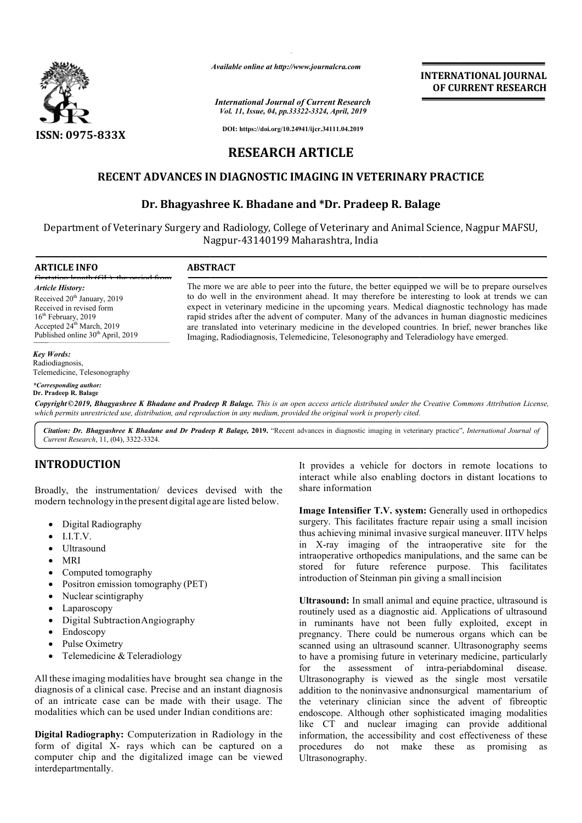

*Available online at http://www.journalcra.com*

### *International Journal of Current Research Vol. 11, Issue, 04, pp.33322-3324, April, 2019*

**INTERNATIONAL JOURNAL OF CURRENT RESEARCH**

**DOI: https://doi.org/10.24941/ijcr.34111.04.2019**

# **RESEARCH ARTICLE**

### **RECENT ADVANCES IN DIAGNOSTIC IMAGING IN VETERINARY PRACTICE ADVANCES IN DIAGNOSTIC IMAGING IN VETERINARY PRACTICE**

## **Dr. Bhagyashree K K. Bhadane and \*Dr. Pradeep R. Balage**

Department of Veterinary Surgery and Radiology, College of Veterinary and Animal Science, Nagpur MAFSU, Nagpur Nagpur-43140199 Maharashtra, India

**ARTICLE INFO ABSTRACT** Gestation length (GL), the period from *Article History:* Received 20<sup>th</sup> January, 2019 Received in revised form 16<sup>th</sup> February, 2019 Accepted 24<sup>th</sup> March, 2019 Published online 30<sup>th</sup> April, 2019

### The more we are able to peer into the future, the better equipped we will be to prepare ourselves to do well in the environment ahead. It may therefore be interesting to look at trends we can The more we are able to peer into the future, the better equipped we will be to prepare ourselves to do well in the environment ahead. It may therefore be interesting to look at trends we can expect in veterinary medicine rapid strides after the advent of computer. Many of the advances in human diagnostic medicines are translated into veterinary medicine in the developed countries. In brief, newer branches like Imaging, Radiodiagnosis, Telemedicine, Telesonography and Teleradiology have emerged. rapid strides after the advent of computer. Many of the advances in human diagnostic medicines<br>are translated into veterinary medicine in the developed countries. In brief, newer branches like<br>Imaging, Radiodiagnosis, Tele

#### *Key Words:*

Radiodiagnosis, Telemedicine, Telesonography

#### *\*Corresponding author:* **Dr. Pradeep R. Balage**

Copyright©2019, Bhagyashree K Bhadane and Pradeep R Balage. This is an open access article distributed under the Creative Commons Attribution License, which permits unrestricted use, distribution, and reproduction in any medium, provided the original work is properly cited.

Citation: Dr. Bhagyashree K Bhadane and Dr Pradeep R Balage, 2019. "Recent advances in diagnostic imaging in veterinary practice", *International Journal of Current Research*, 11, (04), 3322-3324.

## **INTRODUCTION**

Broadly, the instrumentation/ devices devised with the modern technology in the present digital age are listed below.

- Digital Radiography
- IITV
- Ultrasound
- MRI
- Computed tomography
- Positron emission tomography (PET)
- Nuclear scintigraphy
- Laparoscopy
- Digital SubtractionAngiography
- Endoscopy
- Pulse Oximetry
- Telemedicine & Teleradiology

All these imaging modalities have brought sea change in the diagnosis of a clinical case. Precise and an instant diagnosis of an intricate case can be made with their usage. The modalities which can be used under Indian conditions are:

**Digital Radiography:** Computerization in Radiology in the form of digital X- rays which can be captured on a computer chip and the digitalized image can be viewed interdepartmentally.

It provides a vehicle for doctors in remote locations to It provides a vehicle for doctors in remote locations to interact while also enabling doctors in distant locations to share information

**Image Intensifier T.V. system:** Generally used in orthopedics surgery. This facilitates fracture repair using a small incision surgery. This facilitates fracture repair using a small incision<br>thus achieving minimal invasive surgical maneuver. IITV helps in X-ray imaging of the intraoperative site for the intraoperative orthopedics manipulations, and the same can be stored for future reference purpose. This facilitates introduction of Steinman pin giving a small incision aging of the intraoperative site for<br>prothopedics manipulations, and the same cature reference purpose. This facil:<br>Steinman pin giving a small incision

**Ultrasound:** In small animal and equine practice, ultrasound is routinely used as a diagnostic aid. Applications of ultrasound in ruminants have not been fully exploited, except in pregnancy. There could be numerous organs which can be scanned using an ultrasound scanner. Ultrasonography seems to have a promising future in veterinary medicine, particularly to have a promising future in veterinary medicine, particularly<br>for the assessment of intra-periabdominal disease. Ultrasonography is viewed as the single most versatile addition to the noninvasive andnonsurgical mamentarium of the veterinary clinician since the advent of fibreoptic endoscope. Although other sophisticated imaging modalities like CT and nuclear imaging can provide additional information, the accessibility and cost effectiveness of these procedures do not make these as promising Ultrasonography. **nd:** In small animal and equine practice, ultrasound is used as a diagnostic aid. Applications of ultrasound ants have not been fully exploited, except in  $n$ . There could be numerous organs which can be sing an ultrasoun the veterinary clinician since the advent of fibreoptic<br>endoscope. Although other sophisticated imaging modalities<br>like CT and nuclear imaging can provide additional<br>information, the accessibility and cost effectiveness of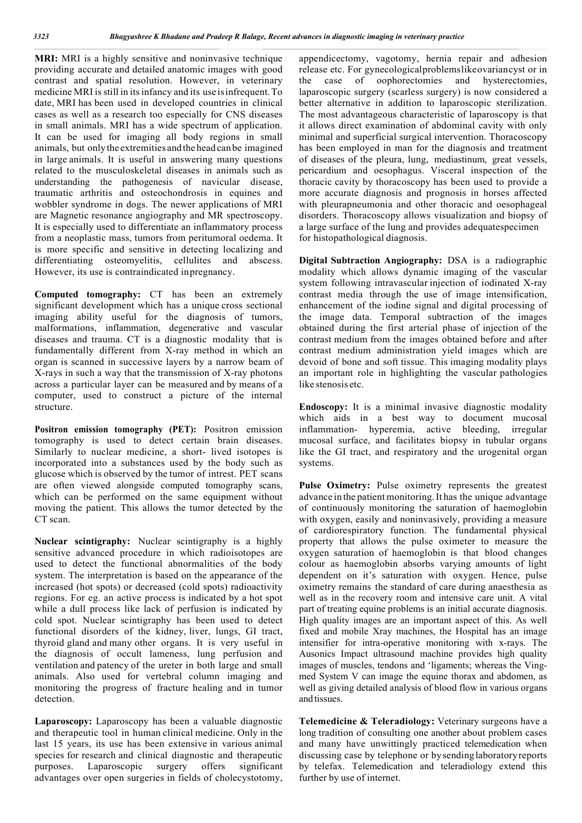**MRI:** MRI is a highly sensitive and noninvasive technique providing accurate and detailed anatomic images with good contrast and spatial resolution. However, in veterinary medicine MRI isstill in itsinfancy and its use isinfrequent.To date, MRI has been used in developed countries in clinical cases as well as a research too especially for CNS diseases in small animals. MRI has a wide spectrum of application. It can be used for imaging all body regions in small animals, but onlythe extremities andthe head canbe imagined in large animals. It is useful in answering many questions related to the musculoskeletal diseases in animals such as understanding the pathogenesis of navicular disease, traumatic arthritis and osteochondrosis in equines and wobbler syndrome in dogs. The newer applications of MRI are Magnetic resonance angiography and MR spectroscopy. It is especially used to differentiate an inflammatory process from a neoplastic mass, tumors from peritumoral oedema. It is more specific and sensitive in detecting localizing and differentiating osteomyelitis, cellulites and abscess. However, its use is contraindicated inpregnancy.

**Computed tomography:** CT has been an extremely significant development which has a unique cross sectional imaging ability useful for the diagnosis of tumors, malformations, inflammation, degenerative and vascular diseases and trauma. CT is a diagnostic modality that is fundamentally different from X-ray method in which an organ is scanned in successive layers by a narrow beam of X-rays in such a way that the transmission of X-ray photons across a particular layer can be measured and by means of a computer, used to construct a picture of the internal structure.

**Positron emission tomography (PET):** Positron emission tomography is used to detect certain brain diseases. Similarly to nuclear medicine, a short- lived isotopes is incorporated into a substances used by the body such as glucose which is observed by the tumor of intrest. PET scans are often viewed alongside computed tomography scans, which can be performed on the same equipment without moving the patient. This allows the tumor detected by the CT scan.

**Nuclear scintigraphy:** Nuclear scintigraphy is a highly sensitive advanced procedure in which radioisotopes are used to detect the functional abnormalities of the body system. The interpretation is based on the appearance of the increased (hot spots) or decreased (cold spots) radioactivity regions. For eg. an active process is indicated by a hot spot while a dull process like lack of perfusion is indicated by cold spot. Nuclear scintigraphy has been used to detect functional disorders of the kidney, liver, lungs, GI tract, thyroid gland and many other organs. It is very useful in the diagnosis of occult lameness, lung perfusion and ventilation and patency of the ureter in both large and small animals. Also used for vertebral column imaging and monitoring the progress of fracture healing and in tumor detection.

**Laparoscopy:** Laparoscopy has been a valuable diagnostic and therapeutic tool in human clinical medicine. Only in the last 15 years, its use has been extensive in various animal species for research and clinical diagnostic and therapeutic purposes. Laparoscopic surgery offers significant advantages over open surgeries in fields of cholecystotomy, appendicectomy, vagotomy, hernia repair and adhesion release etc. For gynecologicalproblemslikeovariancyst or in the case of oophorectomies and hysterectomies, laparoscopic surgery (scarless surgery) is now considered a better alternative in addition to laparoscopic sterilization. The most advantageous characteristic of laparoscopy is that it allows direct examination of abdominal cavity with only minimal and superficial surgical intervention. Thoracoscopy has been employed in man for the diagnosis and treatment of diseases of the pleura, lung, mediastinum, great vessels, pericardium and oesophagus. Visceral inspection of the thoracic cavity by thoracoscopy has been used to provide a more accurate diagnosis and prognosis in horses affected with pleurapneumonia and other thoracic and oesophageal disorders. Thoracoscopy allows visualization and biopsy of a large surface of the lung and provides adequatespecimen for histopathological diagnosis.

**Digital Subtraction Angiography:** DSA is a radiographic modality which allows dynamic imaging of the vascular system following intravascular injection of iodinated X-ray contrast media through the use of image intensification, enhancement of the iodine signal and digital processing of the image data. Temporal subtraction of the images obtained during the first arterial phase of injection of the contrast medium from the images obtained before and after contrast medium administration yield images which are devoid of bone and soft tissue. This imaging modality plays an important role in highlighting the vascular pathologies like stenosis etc.

**Endoscopy:** It is a minimal invasive diagnostic modality which aids in a best way to document mucosal inflammation- hyperemia, active bleeding, irregular mucosal surface, and facilitates biopsy in tubular organs like the GI tract, and respiratory and the urogenital organ systems.

**Pulse Oximetry:** Pulse oximetry represents the greatest advance in the patient monitoring.It has the unique advantage of continuously monitoring the saturation of haemoglobin with oxygen, easily and noninvasively, providing a measure of cardiorespiratory function. The fundamental physical property that allows the pulse oximeter to measure the oxygen saturation of haemoglobin is that blood changes colour as haemoglobin absorbs varying amounts of light dependent on it's saturation with oxygen. Hence, pulse oximetry remains the standard of care during anaesthesia as well as in the recovery room and intensive care unit. A vital part of treating equine problems is an initial accurate diagnosis. High quality images are an important aspect of this. As well fixed and mobile Xray machines, the Hospital has an image intensifier for intra-operative monitoring with x-rays. The Ausonics Impact ultrasound machine provides high quality images of muscles, tendons and 'ligaments; whereas the Vingmed System V can image the equine thorax and abdomen, as well as giving detailed analysis of blood flow in various organs andtissues.

**Telemedicine & Teleradiology:** Veterinary surgeons have a long tradition of consulting one another about problem cases and many have unwittingly practiced telemedication when discussing case by telephone or bysendinglaboratoryreports by telefax. Telemedication and teleradiology extend this further by use of internet.